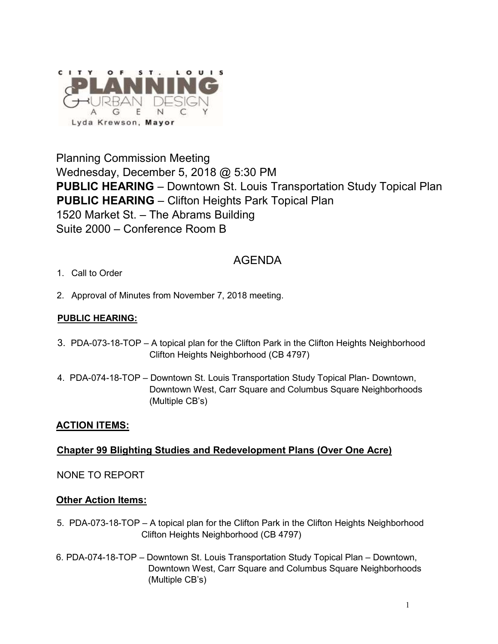

Planning Commission Meeting Wednesday, December 5, 2018 @ 5:30 PM **PUBLIC HEARING** – Downtown St. Louis Transportation Study Topical Plan **PUBLIC HEARING** – Clifton Heights Park Topical Plan 1520 Market St. – The Abrams Building Suite 2000 – Conference Room B

# AGENDA

- 1. Call to Order
- 2. Approval of Minutes from November 7, 2018 meeting.

### **PUBLIC HEARING:**

- 3. PDA-073-18-TOP A topical plan for the Clifton Park in the Clifton Heights Neighborhood Clifton Heights Neighborhood (CB 4797)
- 4. PDA-074-18-TOP Downtown St. Louis Transportation Study Topical Plan- Downtown, Downtown West, Carr Square and Columbus Square Neighborhoods (Multiple CB's)

# **ACTION ITEMS:**

# **Chapter 99 Blighting Studies and Redevelopment Plans (Over One Acre)**

# NONE TO REPORT

# **Other Action Items:**

- 5. PDA-073-18-TOP A topical plan for the Clifton Park in the Clifton Heights Neighborhood Clifton Heights Neighborhood (CB 4797)
- 6. PDA-074-18-TOP Downtown St. Louis Transportation Study Topical Plan Downtown, Downtown West, Carr Square and Columbus Square Neighborhoods (Multiple CB's)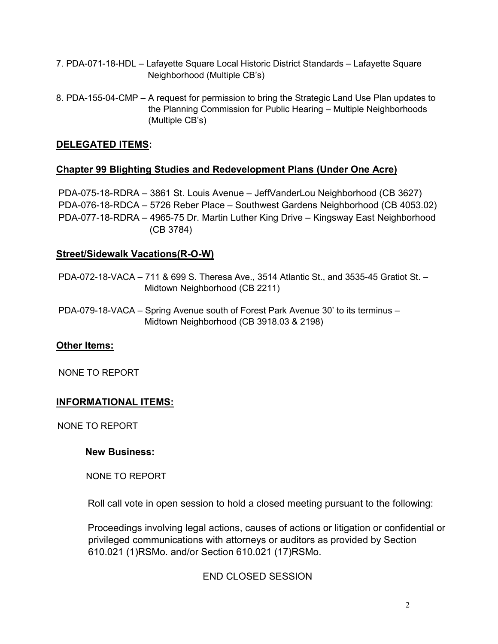- 7. PDA-071-18-HDL Lafayette Square Local Historic District Standards Lafayette Square Neighborhood (Multiple CB's)
- 8. PDA-155-04-CMP A request for permission to bring the Strategic Land Use Plan updates to the Planning Commission for Public Hearing – Multiple Neighborhoods (Multiple CB's)

#### **DELEGATED ITEMS:**

#### **Chapter 99 Blighting Studies and Redevelopment Plans (Under One Acre)**

PDA-075-18-RDRA – 3861 St. Louis Avenue – JeffVanderLou Neighborhood (CB 3627) PDA-076-18-RDCA – 5726 Reber Place – Southwest Gardens Neighborhood (CB 4053.02) PDA-077-18-RDRA – 4965-75 Dr. Martin Luther King Drive – Kingsway East Neighborhood (CB 3784)

#### **Street/Sidewalk Vacations(R-O-W)**

PDA-072-18-VACA – 711 & 699 S. Theresa Ave., 3514 Atlantic St., and 3535-45 Gratiot St. – Midtown Neighborhood (CB 2211)

PDA-079-18-VACA – Spring Avenue south of Forest Park Avenue 30' to its terminus – Midtown Neighborhood (CB 3918.03 & 2198)

#### **Other Items:**

NONE TO REPORT

#### **INFORMATIONAL ITEMS:**

NONE TO REPORT

#### **New Business:**

NONE TO REPORT

Roll call vote in open session to hold a closed meeting pursuant to the following:

Proceedings involving legal actions, causes of actions or litigation or confidential or privileged communications with attorneys or auditors as provided by Section 610.021 (1)RSMo. and/or Section 610.021 (17)RSMo.

END CLOSED SESSION